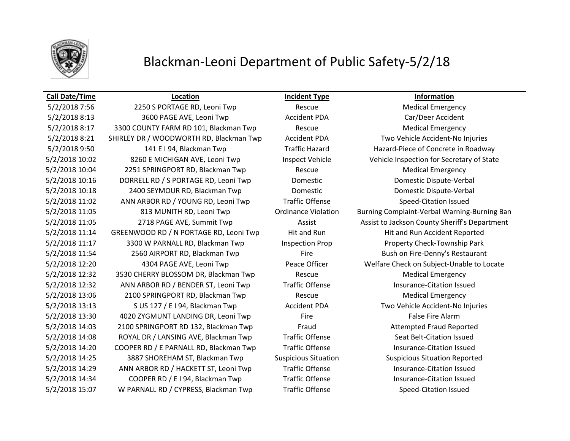

## Blackman-Leoni Department of Public Safety-5/2/18

### **Call Date/Time Location Incident Type Information**

5/2/2018 7:56 2250 S PORTAGE RD, Leoni Twp Rescue Rescue Medical Emergency 5/2/2018 8:13 3600 PAGE AVE, Leoni Twp Accident PDA Car/Deer Accident 5/2/2018 8:17 3300 COUNTY FARM RD 101, Blackman Twp Rescue Rescue Medical Emergency 5/2/2018 8:21 SHIRLEY DR / WOODWORTH RD, Blackman Twp Accident PDA Two Vehicle Accident-No Injuries 5/2/2018 9:50 141 E I 94, Blackman Twp Traffic Hazard Hazard-Piece of Concrete in Roadway 5/2/2018 10:02 8260 E MICHIGAN AVE, Leoni Twp Inspect Vehicle Vehicle Inspection for Secretary of State 5/2/2018 10:04 2251 SPRINGPORT RD, Blackman Twp Rescue Medical Emergency 5/2/2018 10:16 DORRELL RD / S PORTAGE RD, Leoni Twp Domestic Domestic Dispute-Verbal 5/2/2018 10:18 2400 SEYMOUR RD, Blackman Twp Domestic Domestic Dispute-Verbal 5/2/2018 11:02 ANN ARBOR RD / YOUNG RD, Leoni Twp Traffic Offense Speed-Citation Issued 5/2/2018 11:05 813 MUNITH RD, Leoni Twp Ordinance Violation Burning Complaint-Verbal Warning-Burning Ban 5/2/2018 11:05 2718 PAGE AVE, Summit Twp Assist Assist Assist to Jackson County Sheriff's Department 5/2/2018 11:14 GREENWOOD RD / N PORTAGE RD, Leoni Twp Hit and Run Hit and Run Accident Reported 5/2/2018 11:17 3300 W PARNALL RD, Blackman Twp Inspection Prop Property Check-Township Park 5/2/2018 11:54 2560 AIRPORT RD, Blackman Twp Fire Bush on Fire-Denny's Restaurant 5/2/2018 12:20 4304 PAGE AVE, Leoni Twp Peace Officer Welfare Check on Subject-Unable to Locate 5/2/2018 12:32 3530 CHERRY BLOSSOM DR, Blackman Twp Rescue Medical Emergency 5/2/2018 12:32 ANN ARBOR RD / BENDER ST, Leoni Twp Traffic Offense Track and Insurance-Citation Issued 5/2/2018 13:06 2100 SPRINGPORT RD, Blackman Twp Rescue Rescue Medical Emergency 5/2/2018 13:13 S US 127 / E I 94, Blackman Twp Accident PDA Two Vehicle Accident-No Injuries 5/2/2018 13:30 4020 ZYGMUNT LANDING DR, Leoni Twp Fire False Fire Alarm 5/2/2018 14:03 2100 SPRINGPORT RD 132, Blackman Twp Fraud Fraud Attempted Fraud Reported 5/2/2018 14:08 ROYAL DR / LANSING AVE, Blackman Twp Traffic Offense Seat Belt-Citation Issued 5/2/2018 14:20 COOPER RD / E PARNALL RD, Blackman Twp Traffic Offense Insurance-Citation Issued 5/2/2018 14:25 3887 SHOREHAM ST, Blackman Twp Suspicious Situation Suspicious Situation Reported 5/2/2018 14:29 ANN ARBOR RD / HACKETT ST, Leoni Twp Traffic Offense Insurance-Citation Issued 5/2/2018 14:34 COOPER RD / E I 94, Blackman Twp Traffic Offense Traffic Content on the Insurance-Citation Issued 5/2/2018 15:07 W PARNALL RD / CYPRESS, Blackman Twp Traffic Offense Speed-Citation Issued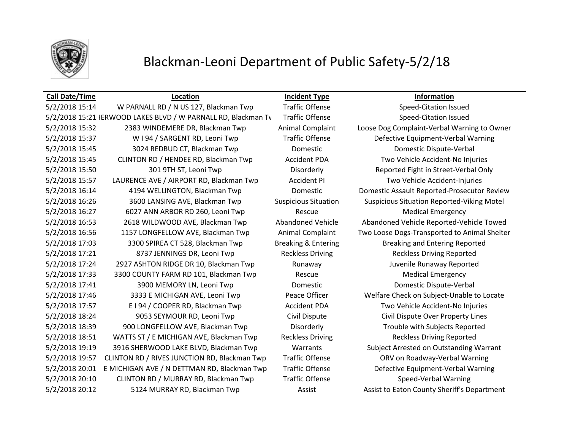

# Blackman-Leoni Department of Public Safety-5/2/18

### **Call Date/Time Location Incident Type Information**

5/2/2018 15:14 W PARNALL RD / N US 127, Blackman Twp Traffic Offense Speed-Citation Issued 5/2/2018 15:21 IERWOOD LAKES BLVD / W PARNALL RD, Blackman Tv Traffic Offense Speed-Citation Issued 5/2/2018 15:32 2383 WINDEMERE DR, Blackman Twp Animal Complaint Loose Dog Complaint-Verbal Warning to Owner 5/2/2018 15:37 W I 94 / SARGENT RD, Leoni Twp Traffic Offense Defective Equipment-Verbal Warning 5/2/2018 15:45 3024 REDBUD CT, Blackman Twp Domestic Domestic Dispute-Verbal 5/2/2018 15:45 CLINTON RD / HENDEE RD, Blackman Twp Accident PDA Two Vehicle Accident-No Injuries 5/2/2018 15:50 301 9TH ST, Leoni Twp Disorderly Reported Fight in Street-Verbal Only 5/2/2018 15:57 LAURENCE AVE / AIRPORT RD, Blackman Twp Accident PI Two Vehicle Accident-Injuries 5/2/2018 16:14 4194 WELLINGTON, Blackman Twp Domestic Domestic Assault Reported-Prosecutor Review 5/2/2018 16:26 3600 LANSING AVE, Blackman Twp Suspicious Situation Suspicious Situation Reported-Viking Motel 5/2/2018 16:27 6027 ANN ARBOR RD 260, Leoni Twp Rescue Rescue Medical Emergency 5/2/2018 16:53 2618 WILDWOOD AVE, Blackman Twp Abandoned Vehicle Abandoned Vehicle Reported-Vehicle Towed 5/2/2018 16:56 1157 LONGFELLOW AVE, Blackman Twp Animal Complaint Two Loose Dogs-Transported to Animal Shelter 5/2/2018 17:03 3300 SPIREA CT 528, Blackman Twp Breaking & Entering Breaking and Entering Reported 5/2/2018 17:21 8737 JENNINGS DR, Leoni Twp Reckless Driving Reckless Driving Reported 5/2/2018 17:24 2927 ASHTON RIDGE DR 10, Blackman Twp Runaway Juvenile Runaway Reported 5/2/2018 17:33 3300 COUNTY FARM RD 101, Blackman Twp Rescue Medical Emergency 5/2/2018 17:41 3900 MEMORY LN, Leoni Twp Domestic Domestic Dispute-Verbal 5/2/2018 17:46 3333 E MICHIGAN AVE, Leoni Twp Peace Officer Welfare Check on Subject-Unable to Locate 5/2/2018 17:57 E I 94 / COOPER RD, Blackman Twp Accident PDA Two Vehicle Accident-No Injuries 5/2/2018 18:24 9053 SEYMOUR RD, Leoni Twp Civil Dispute Civil Dispute Over Property Lines 5/2/2018 18:39 900 LONGFELLOW AVE, Blackman Twp Disorderly Trouble with Subjects Reported 5/2/2018 18:51 WATTS ST / E MICHIGAN AVE, Blackman Twp Reckless Driving Reckless Driving Reported 5/2/2018 19:19 3916 SHERWOOD LAKE BLVD, Blackman Twp Warrants Subject Arrested on Outstanding Warrant 5/2/2018 19:57 CLINTON RD / RIVES JUNCTION RD, Blackman Twp Traffic Offense ORV on Roadway-Verbal Warning 5/2/2018 20:01 E MICHIGAN AVE / N DETTMAN RD, Blackman Twp Traffic Offense Defective Equipment-Verbal Warning 5/2/2018 20:10 CLINTON RD / MURRAY RD, Blackman Twp Traffic Offense Speed-Verbal Warning 5/2/2018 20:12 5124 MURRAY RD, Blackman Twp **Assist Assist Assist Leaton County Sheriff's Department**